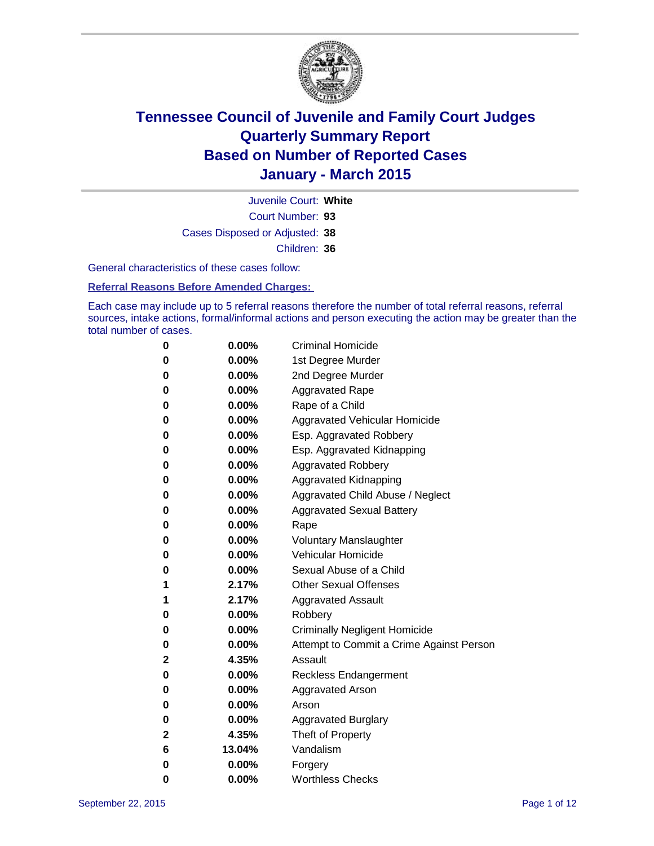

Court Number: **93** Juvenile Court: **White** Cases Disposed or Adjusted: **38** Children: **36**

General characteristics of these cases follow:

#### **Referral Reasons Before Amended Charges:**

Each case may include up to 5 referral reasons therefore the number of total referral reasons, referral sources, intake actions, formal/informal actions and person executing the action may be greater than the total number of cases.

| 0            | $0.00\%$ | <b>Criminal Homicide</b>                 |
|--------------|----------|------------------------------------------|
| $\bf{0}$     | $0.00\%$ | 1st Degree Murder                        |
| $\bf{0}$     | $0.00\%$ | 2nd Degree Murder                        |
| 0            | $0.00\%$ | <b>Aggravated Rape</b>                   |
| 0            | $0.00\%$ | Rape of a Child                          |
| $\bf{0}$     | $0.00\%$ | Aggravated Vehicular Homicide            |
| $\bf{0}$     | 0.00%    | Esp. Aggravated Robbery                  |
| 0            | $0.00\%$ | Esp. Aggravated Kidnapping               |
| 0            | $0.00\%$ | <b>Aggravated Robbery</b>                |
| $\bf{0}$     | $0.00\%$ | <b>Aggravated Kidnapping</b>             |
| 0            | $0.00\%$ | Aggravated Child Abuse / Neglect         |
| 0            | $0.00\%$ | <b>Aggravated Sexual Battery</b>         |
| 0            | $0.00\%$ | Rape                                     |
| 0            | $0.00\%$ | <b>Voluntary Manslaughter</b>            |
| 0            | $0.00\%$ | <b>Vehicular Homicide</b>                |
| 0            | $0.00\%$ | Sexual Abuse of a Child                  |
| 1            | 2.17%    | <b>Other Sexual Offenses</b>             |
| 1            | 2.17%    | <b>Aggravated Assault</b>                |
| 0            | $0.00\%$ | Robbery                                  |
| $\bf{0}$     | $0.00\%$ | <b>Criminally Negligent Homicide</b>     |
| 0            | $0.00\%$ | Attempt to Commit a Crime Against Person |
| 2            | 4.35%    | Assault                                  |
| 0            | 0.00%    | Reckless Endangerment                    |
| $\bf{0}$     | $0.00\%$ | <b>Aggravated Arson</b>                  |
| 0            | $0.00\%$ | Arson                                    |
| $\bf{0}$     | $0.00\%$ | Aggravated Burglary                      |
| $\mathbf{2}$ | 4.35%    | Theft of Property                        |
| 6            | 13.04%   | Vandalism                                |
| 0            | $0.00\%$ | Forgery                                  |
| 0            | 0.00%    | <b>Worthless Checks</b>                  |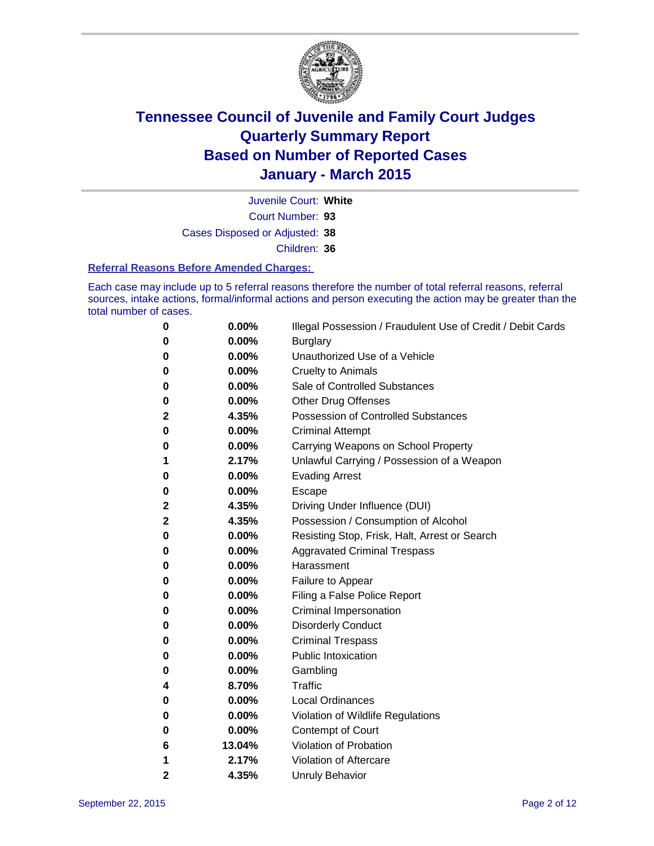

Court Number: **93** Juvenile Court: **White** Cases Disposed or Adjusted: **38** Children: **36**

#### **Referral Reasons Before Amended Charges:**

Each case may include up to 5 referral reasons therefore the number of total referral reasons, referral sources, intake actions, formal/informal actions and person executing the action may be greater than the total number of cases.

| 0            | 0.00%  | Illegal Possession / Fraudulent Use of Credit / Debit Cards |
|--------------|--------|-------------------------------------------------------------|
| 0            | 0.00%  | <b>Burglary</b>                                             |
| 0            | 0.00%  | Unauthorized Use of a Vehicle                               |
| 0            | 0.00%  | <b>Cruelty to Animals</b>                                   |
| 0            | 0.00%  | Sale of Controlled Substances                               |
| 0            | 0.00%  | <b>Other Drug Offenses</b>                                  |
| $\mathbf{2}$ | 4.35%  | <b>Possession of Controlled Substances</b>                  |
| 0            | 0.00%  | <b>Criminal Attempt</b>                                     |
| 0            | 0.00%  | Carrying Weapons on School Property                         |
| 1            | 2.17%  | Unlawful Carrying / Possession of a Weapon                  |
| 0            | 0.00%  | <b>Evading Arrest</b>                                       |
| 0            | 0.00%  | Escape                                                      |
| $\mathbf 2$  | 4.35%  | Driving Under Influence (DUI)                               |
| $\mathbf{2}$ | 4.35%  | Possession / Consumption of Alcohol                         |
| 0            | 0.00%  | Resisting Stop, Frisk, Halt, Arrest or Search               |
| 0            | 0.00%  | <b>Aggravated Criminal Trespass</b>                         |
| 0            | 0.00%  | Harassment                                                  |
| 0            | 0.00%  | Failure to Appear                                           |
| 0            | 0.00%  | Filing a False Police Report                                |
| 0            | 0.00%  | Criminal Impersonation                                      |
| 0            | 0.00%  | <b>Disorderly Conduct</b>                                   |
| 0            | 0.00%  | <b>Criminal Trespass</b>                                    |
| 0            | 0.00%  | <b>Public Intoxication</b>                                  |
| 0            | 0.00%  | Gambling                                                    |
| 4            | 8.70%  | Traffic                                                     |
| 0            | 0.00%  | <b>Local Ordinances</b>                                     |
| 0            | 0.00%  | Violation of Wildlife Regulations                           |
| 0            | 0.00%  | Contempt of Court                                           |
| 6            | 13.04% | Violation of Probation                                      |
| 1            | 2.17%  | Violation of Aftercare                                      |
| 2            | 4.35%  | <b>Unruly Behavior</b>                                      |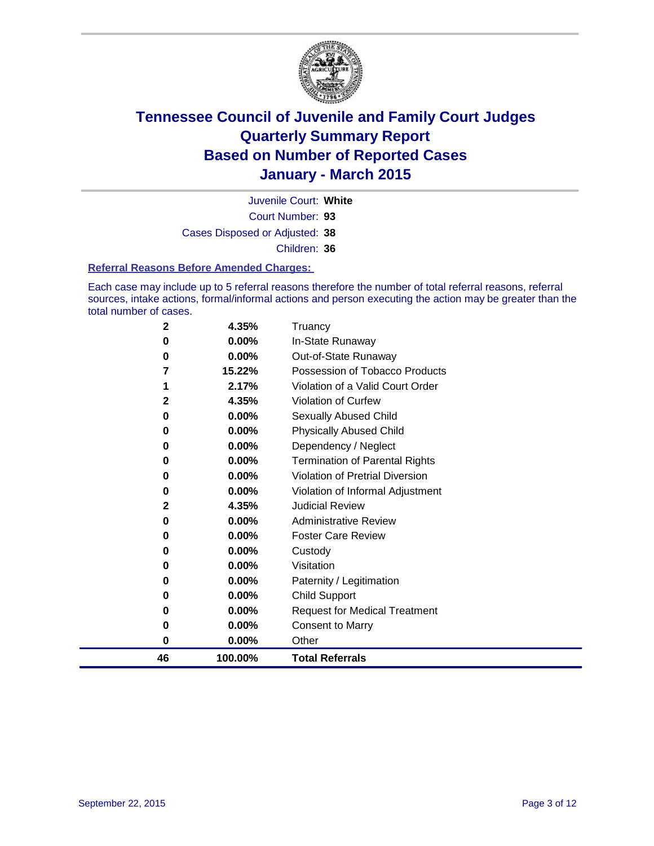

Court Number: **93** Juvenile Court: **White** Cases Disposed or Adjusted: **38** Children: **36**

#### **Referral Reasons Before Amended Charges:**

Each case may include up to 5 referral reasons therefore the number of total referral reasons, referral sources, intake actions, formal/informal actions and person executing the action may be greater than the total number of cases.

| 2            | 4.35%    | Truancy                                |
|--------------|----------|----------------------------------------|
| 0            | 0.00%    | In-State Runaway                       |
| 0            | 0.00%    | Out-of-State Runaway                   |
| 7            | 15.22%   | Possession of Tobacco Products         |
| 1            | 2.17%    | Violation of a Valid Court Order       |
| 2            | 4.35%    | Violation of Curfew                    |
| 0            | $0.00\%$ | Sexually Abused Child                  |
| 0            | 0.00%    | <b>Physically Abused Child</b>         |
| 0            | 0.00%    | Dependency / Neglect                   |
| 0            | $0.00\%$ | <b>Termination of Parental Rights</b>  |
| 0            | $0.00\%$ | <b>Violation of Pretrial Diversion</b> |
| 0            | 0.00%    | Violation of Informal Adjustment       |
| $\mathbf{2}$ | 4.35%    | <b>Judicial Review</b>                 |
| 0            | $0.00\%$ | <b>Administrative Review</b>           |
| 0            | $0.00\%$ | <b>Foster Care Review</b>              |
| 0            | $0.00\%$ | Custody                                |
| 0            | 0.00%    | Visitation                             |
| 0            | $0.00\%$ | Paternity / Legitimation               |
| 0            | 0.00%    | <b>Child Support</b>                   |
| 0            | $0.00\%$ | <b>Request for Medical Treatment</b>   |
| 0            | 0.00%    | <b>Consent to Marry</b>                |
| 0            | 0.00%    | Other                                  |
| 46           | 100.00%  | <b>Total Referrals</b>                 |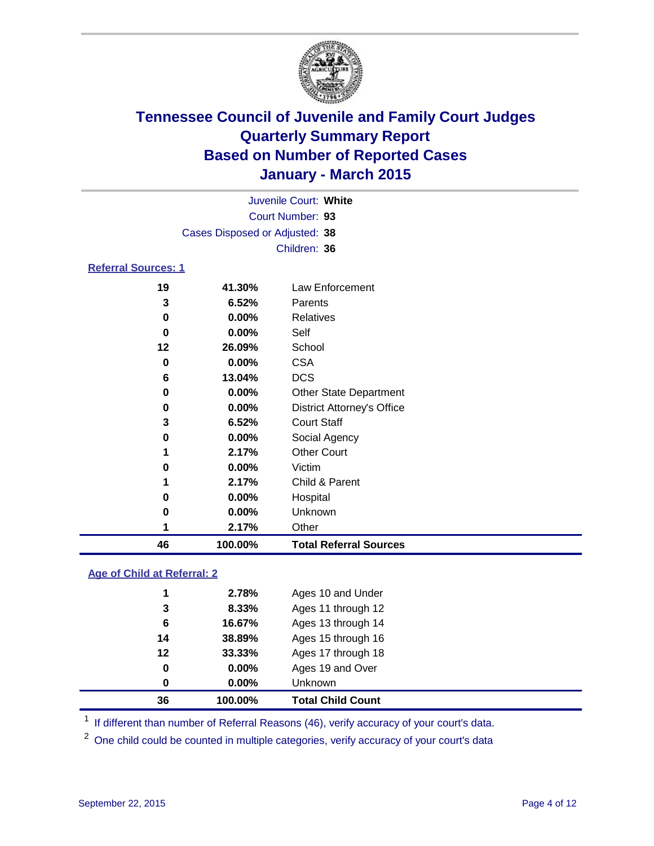

| Juvenile Court: White          |  |
|--------------------------------|--|
| Court Number: 93               |  |
| Cases Disposed or Adjusted: 38 |  |
| Children: 36                   |  |
| <b>Referral Sources: 1</b>     |  |

| 46 | 100.00%  | <b>Total Referral Sources</b>     |
|----|----------|-----------------------------------|
|    | 2.17%    | Other                             |
| 0  | 0.00%    | Unknown                           |
| 0  | 0.00%    | Hospital                          |
|    | 2.17%    | Child & Parent                    |
| 0  | 0.00%    | Victim                            |
| 1  | 2.17%    | <b>Other Court</b>                |
| 0  | 0.00%    | Social Agency                     |
| 3  | 6.52%    | <b>Court Staff</b>                |
| 0  | $0.00\%$ | <b>District Attorney's Office</b> |
| 0  | $0.00\%$ | <b>Other State Department</b>     |
| 6  | 13.04%   | <b>DCS</b>                        |
| 0  | $0.00\%$ | <b>CSA</b>                        |
| 12 | 26.09%   | School                            |
| 0  | 0.00%    | Self                              |
| 0  | $0.00\%$ | <b>Relatives</b>                  |
| 3  | 6.52%    | Parents                           |
| 19 | 41.30%   | Law Enforcement                   |

### **Age of Child at Referral: 2**

| 36 | 100.00%  | <b>Total Child Count</b> |
|----|----------|--------------------------|
| 0  | $0.00\%$ | <b>Unknown</b>           |
| 0  | $0.00\%$ | Ages 19 and Over         |
| 12 | 33.33%   | Ages 17 through 18       |
| 14 | 38.89%   | Ages 15 through 16       |
| 6  | 16.67%   | Ages 13 through 14       |
| 3  | 8.33%    | Ages 11 through 12       |
| 1  | 2.78%    | Ages 10 and Under        |
|    |          |                          |

<sup>1</sup> If different than number of Referral Reasons (46), verify accuracy of your court's data.

One child could be counted in multiple categories, verify accuracy of your court's data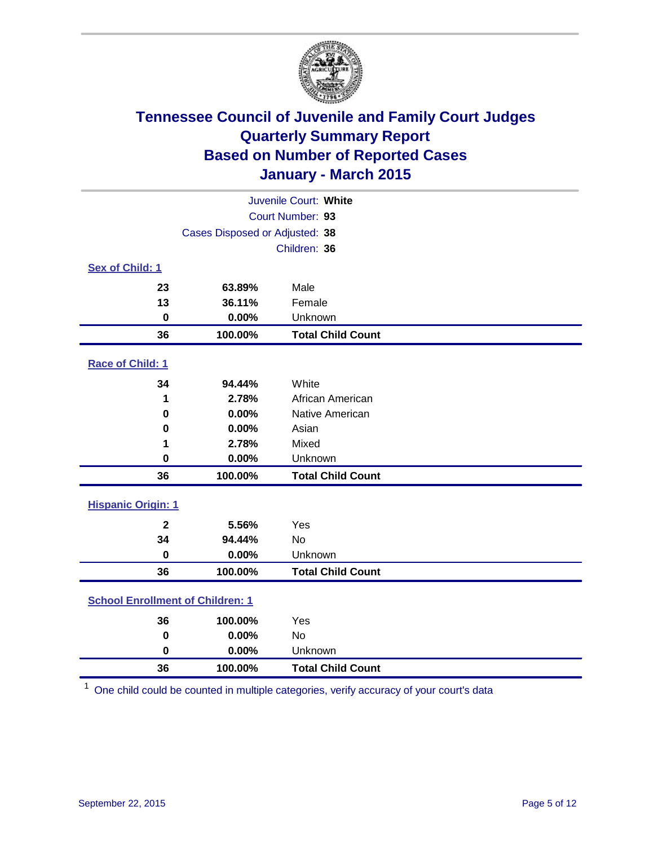

| Juvenile Court: White                   |                                |                          |  |
|-----------------------------------------|--------------------------------|--------------------------|--|
|                                         | Court Number: 93               |                          |  |
|                                         | Cases Disposed or Adjusted: 38 |                          |  |
|                                         |                                | Children: 36             |  |
| Sex of Child: 1                         |                                |                          |  |
| 23                                      | 63.89%                         | Male                     |  |
| 13                                      | 36.11%                         | Female                   |  |
| $\bf{0}$                                | 0.00%                          | Unknown                  |  |
| 36                                      | 100.00%                        | <b>Total Child Count</b> |  |
| Race of Child: 1                        |                                |                          |  |
| 34                                      | 94.44%                         | White                    |  |
| 1                                       | 2.78%                          | African American         |  |
| 0                                       | 0.00%                          | Native American          |  |
| 0                                       | 0.00%                          | Asian                    |  |
| 1                                       | 2.78%                          | Mixed                    |  |
| $\mathbf 0$                             | 0.00%                          | Unknown                  |  |
| 36                                      | 100.00%                        | <b>Total Child Count</b> |  |
| <b>Hispanic Origin: 1</b>               |                                |                          |  |
| $\overline{2}$                          | 5.56%                          | Yes                      |  |
| 34                                      | 94.44%                         | <b>No</b>                |  |
| $\bf{0}$                                | 0.00%                          | Unknown                  |  |
| 36                                      | 100.00%                        | <b>Total Child Count</b> |  |
| <b>School Enrollment of Children: 1</b> |                                |                          |  |
| 36                                      | 100.00%                        | Yes                      |  |
| $\bf{0}$                                | 0.00%                          | No                       |  |
| $\bf{0}$                                | 0.00%                          | Unknown                  |  |
| 36                                      | 100.00%                        | <b>Total Child Count</b> |  |

One child could be counted in multiple categories, verify accuracy of your court's data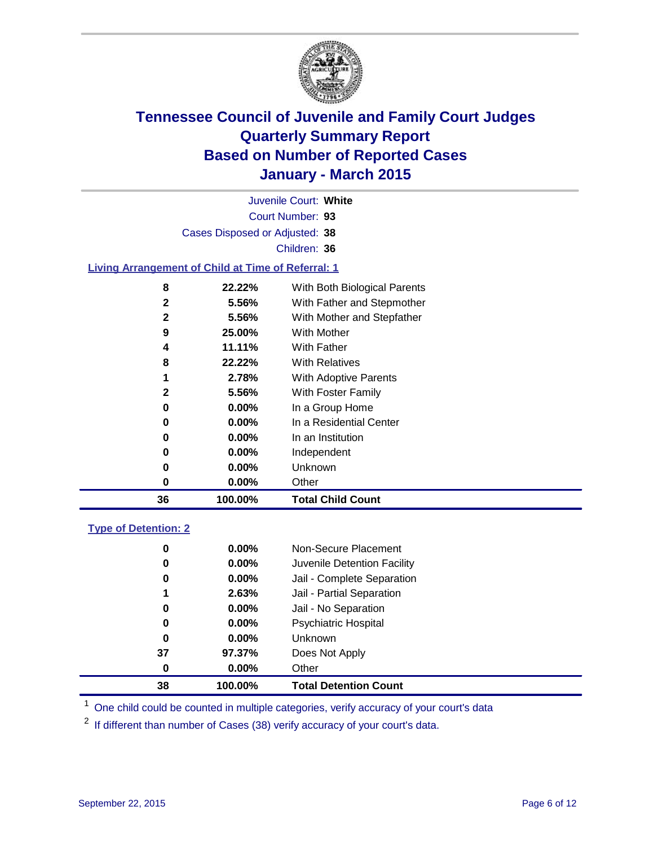

|        |                                                    | Juvenile Court: White                                      |
|--------|----------------------------------------------------|------------------------------------------------------------|
|        |                                                    | Court Number: 93                                           |
|        | Cases Disposed or Adjusted: 38                     |                                                            |
|        |                                                    | Children: 36                                               |
|        | Living Arrangement of Child at Time of Referral: 1 |                                                            |
| 8<br>2 | 22.22%<br>5.56%                                    | With Both Biological Parents<br>With Father and Stepmother |

| 36 | 100.00%    | <b>Total Child Count</b>            |
|----|------------|-------------------------------------|
| O  | $0.00\%$   | Other                               |
| 0  | $0.00\%$   | Unknown                             |
| 0  | $0.00\%$   | Independent                         |
| 0  | $0.00\%$   | In an Institution                   |
| 0  | $0.00\%$   | In a Residential Center             |
| 0  | $0.00\%$   | In a Group Home                     |
|    | 5.56%<br>2 | With Foster Family                  |
|    | 2.78%      | <b>With Adoptive Parents</b>        |
| 8  | 22.22%     | <b>With Relatives</b>               |
| 4  | 11.11%     | <b>With Father</b>                  |
| 9  | 25.00%     | With Mother                         |
|    | 2<br>5.56% | With Mother and Stepfather          |
|    | J.JV70     | <i>vviani anici and otophionici</i> |

### **Type of Detention: 2**

| 0  | $0.00\%$ | Non-Secure Placement         |
|----|----------|------------------------------|
| 0  | $0.00\%$ | Juvenile Detention Facility  |
| 0  | $0.00\%$ | Jail - Complete Separation   |
| 1  | 2.63%    | Jail - Partial Separation    |
| 0  | $0.00\%$ | Jail - No Separation         |
| 0  | $0.00\%$ | <b>Psychiatric Hospital</b>  |
| 0  | $0.00\%$ | <b>Unknown</b>               |
| 37 | 97.37%   | Does Not Apply               |
| 0  | $0.00\%$ | Other                        |
| 38 | 100.00%  | <b>Total Detention Count</b> |

<sup>1</sup> One child could be counted in multiple categories, verify accuracy of your court's data

If different than number of Cases (38) verify accuracy of your court's data.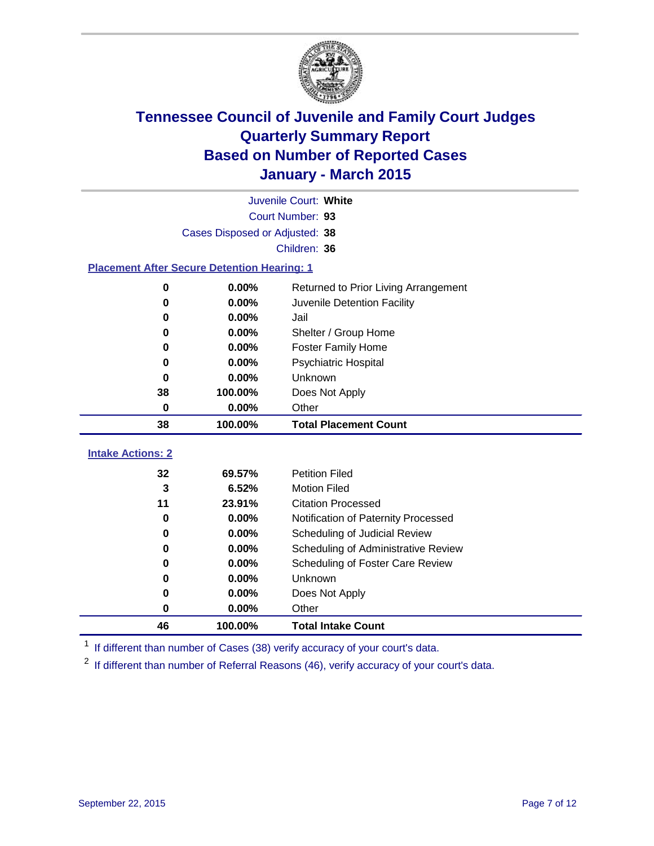

| Juvenile Court: White                                                                                        |                                                    |                                         |  |  |  |  |  |
|--------------------------------------------------------------------------------------------------------------|----------------------------------------------------|-----------------------------------------|--|--|--|--|--|
|                                                                                                              | Court Number: 93                                   |                                         |  |  |  |  |  |
|                                                                                                              | Cases Disposed or Adjusted: 38                     |                                         |  |  |  |  |  |
|                                                                                                              | Children: 36                                       |                                         |  |  |  |  |  |
|                                                                                                              | <b>Placement After Secure Detention Hearing: 1</b> |                                         |  |  |  |  |  |
| 0.00%<br>0                                                                                                   |                                                    | Returned to Prior Living Arrangement    |  |  |  |  |  |
| 0.00%<br>Juvenile Detention Facility<br>0<br>0.00%<br>Jail<br>0                                              |                                                    |                                         |  |  |  |  |  |
|                                                                                                              |                                                    |                                         |  |  |  |  |  |
| 0.00%<br>Shelter / Group Home<br>0                                                                           |                                                    |                                         |  |  |  |  |  |
| 0.00%<br><b>Foster Family Home</b><br>0                                                                      |                                                    |                                         |  |  |  |  |  |
| 0.00%<br><b>Psychiatric Hospital</b><br>0<br>0.00%<br><b>Unknown</b><br>0<br>38<br>100.00%<br>Does Not Apply |                                                    |                                         |  |  |  |  |  |
|                                                                                                              |                                                    |                                         |  |  |  |  |  |
|                                                                                                              |                                                    |                                         |  |  |  |  |  |
|                                                                                                              |                                                    |                                         |  |  |  |  |  |
| 0                                                                                                            | 0.00%                                              | Other                                   |  |  |  |  |  |
| 38                                                                                                           | 100.00%                                            | <b>Total Placement Count</b>            |  |  |  |  |  |
| <b>Intake Actions: 2</b>                                                                                     |                                                    |                                         |  |  |  |  |  |
| 32                                                                                                           | 69.57%                                             | <b>Petition Filed</b>                   |  |  |  |  |  |
| 3                                                                                                            | 6.52%                                              | <b>Motion Filed</b>                     |  |  |  |  |  |
| 11                                                                                                           | 23.91%                                             | <b>Citation Processed</b>               |  |  |  |  |  |
| 0                                                                                                            | 0.00%                                              | Notification of Paternity Processed     |  |  |  |  |  |
| 0                                                                                                            | $0.00\%$                                           | Scheduling of Judicial Review           |  |  |  |  |  |
| 0                                                                                                            | 0.00%                                              | Scheduling of Administrative Review     |  |  |  |  |  |
| 0                                                                                                            | 0.00%                                              | <b>Scheduling of Foster Care Review</b> |  |  |  |  |  |
| 0                                                                                                            | 0.00%                                              | Unknown                                 |  |  |  |  |  |

<sup>1</sup> If different than number of Cases (38) verify accuracy of your court's data.

**100.00% Total Intake Count**

**0.00%** Other

<sup>2</sup> If different than number of Referral Reasons (46), verify accuracy of your court's data.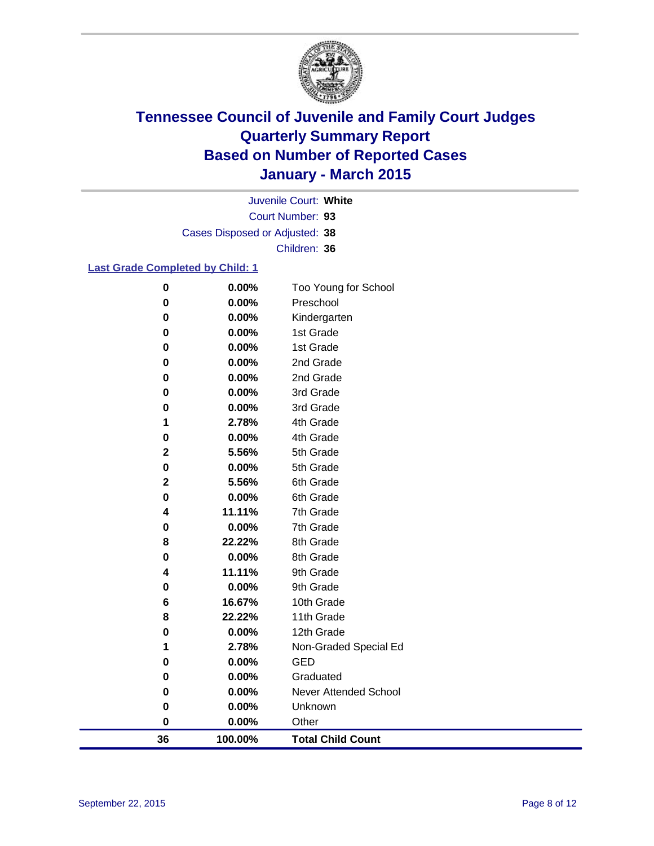

Court Number: **93** Juvenile Court: **White** Cases Disposed or Adjusted: **38** Children: **36**

### **Last Grade Completed by Child: 1**

| 36          | 100.00%        | <b>Total Child Count</b>     |
|-------------|----------------|------------------------------|
| $\pmb{0}$   | 0.00%          | Other                        |
| 0           | 0.00%          | Unknown                      |
| 0           | 0.00%          | <b>Never Attended School</b> |
| 0           | 0.00%          | Graduated                    |
| 0           | 0.00%          | <b>GED</b>                   |
| 1           | 2.78%          | Non-Graded Special Ed        |
| 0           | 0.00%          | 12th Grade                   |
| 8           | 22.22%         | 11th Grade                   |
| 6           | 16.67%         | 10th Grade                   |
| 0           | 0.00%          | 9th Grade                    |
| 4           | 11.11%         | 9th Grade                    |
| 0           | 0.00%          | 8th Grade                    |
| 8           | 22.22%         | 8th Grade                    |
| 0           | 0.00%          | 7th Grade                    |
| 4           | 11.11%         | 7th Grade                    |
| 0           | 0.00%          | 6th Grade                    |
| $\mathbf 2$ | 5.56%          | 6th Grade                    |
| 0           | 0.00%          | 5th Grade                    |
| $\mathbf 2$ | 5.56%          | 5th Grade                    |
| 0           | 0.00%          | 4th Grade                    |
| 1           | 2.78%          | 4th Grade                    |
| 0           | 0.00%          | 3rd Grade                    |
| 0<br>0      | 0.00%<br>0.00% | 2nd Grade<br>3rd Grade       |
| 0           | 0.00%          |                              |
| 0           | 0.00%          | 1st Grade<br>2nd Grade       |
| 0           | 0.00%          | 1st Grade                    |
| 0           | 0.00%          | Kindergarten                 |
| 0           | 0.00%          | Preschool                    |
| $\pmb{0}$   | 0.00%          | Too Young for School         |
|             |                |                              |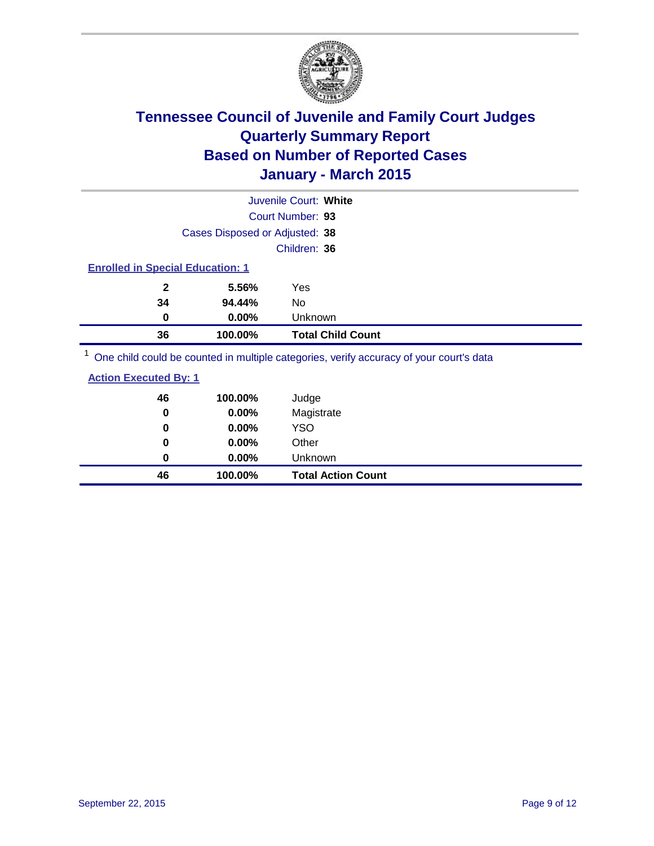

|                                         |         | Juvenile Court: White |                          |  |  |
|-----------------------------------------|---------|-----------------------|--------------------------|--|--|
| Court Number: 93                        |         |                       |                          |  |  |
| Cases Disposed or Adjusted: 38          |         |                       |                          |  |  |
|                                         |         | Children: 36          |                          |  |  |
| <b>Enrolled in Special Education: 1</b> |         |                       |                          |  |  |
| $\mathbf{2}$                            | 5.56%   | Yes                   |                          |  |  |
| 34                                      | 94.44%  | No                    |                          |  |  |
| 0                                       | 0.00%   | Unknown               |                          |  |  |
| 36                                      | 100.00% |                       | <b>Total Child Count</b> |  |  |
| $1 -$<br>.                              |         |                       |                          |  |  |

<sup>1</sup> One child could be counted in multiple categories, verify accuracy of your court's data

| <b>Action Executed By: 1</b> |
|------------------------------|
|------------------------------|

| 46<br>0 | 100.00%<br>0.00% | Judge<br>Magistrate       |
|---------|------------------|---------------------------|
| 0       | $0.00\%$         | <b>YSO</b>                |
| 0       | 0.00%            | Other                     |
| 0       | $0.00\%$         | Unknown                   |
| 46      | 100.00%          | <b>Total Action Count</b> |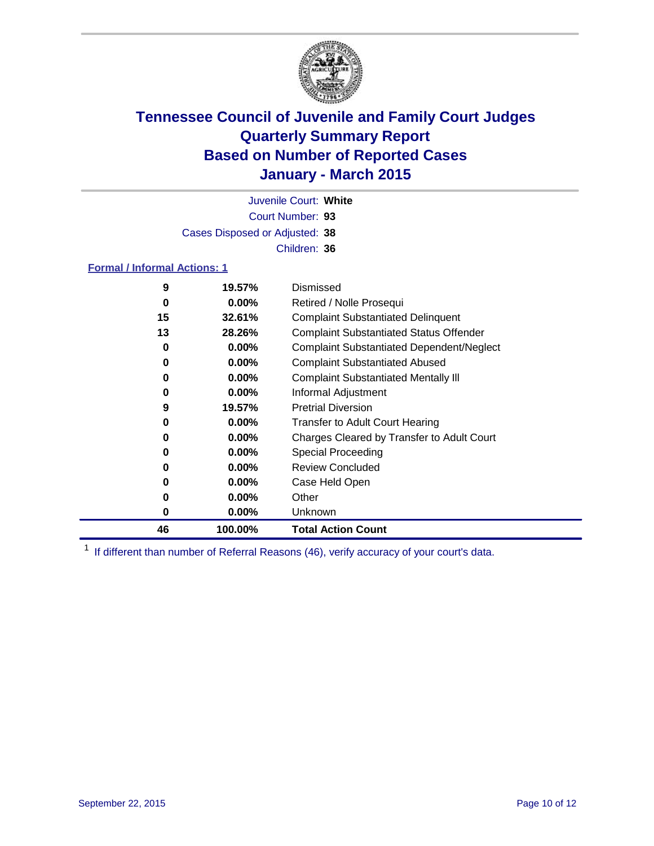

Court Number: **93** Juvenile Court: **White** Cases Disposed or Adjusted: **38** Children: **36**

### **Formal / Informal Actions: 1**

| 9  | 19.57%   | Dismissed                                        |
|----|----------|--------------------------------------------------|
| 0  | $0.00\%$ | Retired / Nolle Prosequi                         |
| 15 | 32.61%   | <b>Complaint Substantiated Delinquent</b>        |
| 13 | 28.26%   | <b>Complaint Substantiated Status Offender</b>   |
| 0  | $0.00\%$ | <b>Complaint Substantiated Dependent/Neglect</b> |
| 0  | $0.00\%$ | <b>Complaint Substantiated Abused</b>            |
| 0  | $0.00\%$ | <b>Complaint Substantiated Mentally III</b>      |
| 0  | $0.00\%$ | Informal Adjustment                              |
| 9  | 19.57%   | <b>Pretrial Diversion</b>                        |
| 0  | $0.00\%$ | <b>Transfer to Adult Court Hearing</b>           |
| 0  | $0.00\%$ | Charges Cleared by Transfer to Adult Court       |
| 0  | $0.00\%$ | Special Proceeding                               |
| 0  | $0.00\%$ | <b>Review Concluded</b>                          |
| 0  | $0.00\%$ | Case Held Open                                   |
| 0  | $0.00\%$ | Other                                            |
| 0  | $0.00\%$ | Unknown                                          |
| 46 | 100.00%  | <b>Total Action Count</b>                        |

<sup>1</sup> If different than number of Referral Reasons (46), verify accuracy of your court's data.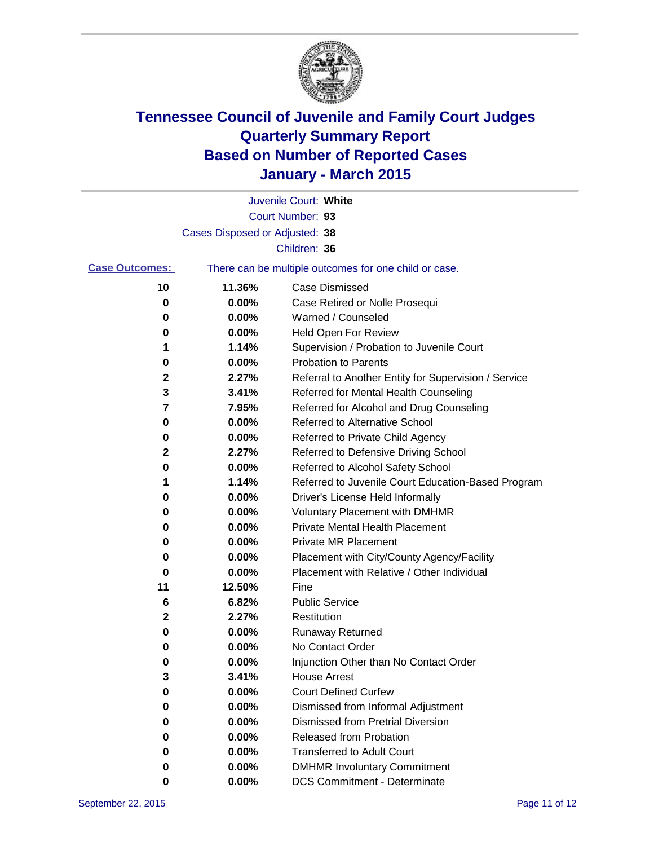

|                       |                                | Juvenile Court: White                                 |
|-----------------------|--------------------------------|-------------------------------------------------------|
|                       |                                | Court Number: 93                                      |
|                       | Cases Disposed or Adjusted: 38 |                                                       |
|                       |                                | Children: 36                                          |
| <b>Case Outcomes:</b> |                                | There can be multiple outcomes for one child or case. |
| 10                    | 11.36%                         | <b>Case Dismissed</b>                                 |
| 0                     | 0.00%                          | Case Retired or Nolle Prosequi                        |
| 0                     | 0.00%                          | Warned / Counseled                                    |
| 0                     | 0.00%                          | <b>Held Open For Review</b>                           |
| 1                     | 1.14%                          | Supervision / Probation to Juvenile Court             |
| 0                     | 0.00%                          | <b>Probation to Parents</b>                           |
| 2                     | 2.27%                          | Referral to Another Entity for Supervision / Service  |
| 3                     | 3.41%                          | Referred for Mental Health Counseling                 |
| 7                     | 7.95%                          | Referred for Alcohol and Drug Counseling              |
| 0                     | 0.00%                          | Referred to Alternative School                        |
| 0                     | 0.00%                          | Referred to Private Child Agency                      |
| 2                     | 2.27%                          | Referred to Defensive Driving School                  |
| 0                     | 0.00%                          | Referred to Alcohol Safety School                     |
| 1                     | 1.14%                          | Referred to Juvenile Court Education-Based Program    |
| 0                     | 0.00%                          | Driver's License Held Informally                      |
| 0                     | 0.00%                          | <b>Voluntary Placement with DMHMR</b>                 |
| 0                     | 0.00%                          | <b>Private Mental Health Placement</b>                |
| 0                     | 0.00%                          | <b>Private MR Placement</b>                           |
| 0                     | 0.00%                          | Placement with City/County Agency/Facility            |
| 0                     | 0.00%                          | Placement with Relative / Other Individual            |
| 11                    | 12.50%                         | Fine                                                  |
| 6                     | 6.82%                          | <b>Public Service</b>                                 |
| $\mathbf 2$           | 2.27%                          | Restitution                                           |
| 0                     | 0.00%                          | <b>Runaway Returned</b>                               |
| 0                     | 0.00%                          | No Contact Order                                      |
| 0                     | 0.00%                          | Injunction Other than No Contact Order                |
| 3                     | 3.41%                          | <b>House Arrest</b>                                   |
| 0                     | 0.00%                          | <b>Court Defined Curfew</b>                           |
| 0                     | 0.00%                          | Dismissed from Informal Adjustment                    |
| 0                     | 0.00%                          | Dismissed from Pretrial Diversion                     |
| 0                     | 0.00%                          | Released from Probation                               |
| 0                     | 0.00%                          | <b>Transferred to Adult Court</b>                     |
| 0                     | 0.00%                          | <b>DMHMR Involuntary Commitment</b>                   |
| 0                     | $0.00\%$                       | <b>DCS Commitment - Determinate</b>                   |